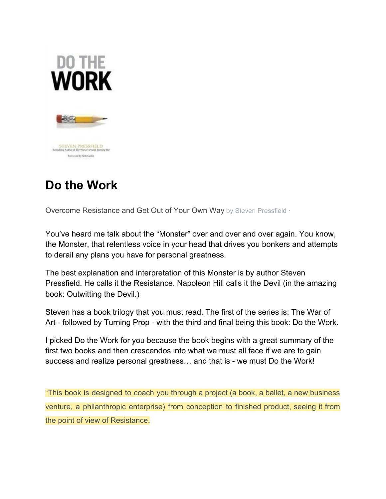

# **Do the Work**

Overcome Resistance and Get Out of Your Own Way by Steven Pressfield ·

You've heard me talk about the "Monster" over and over and over again. You know, the Monster, that relentless voice in your head that drives you bonkers and attempts to derail any plans you have for personal greatness.

The best explanation and interpretation of this Monster is by author Steven Pressfield. He calls it the Resistance. Napoleon Hill calls it the Devil (in the amazing book: Outwitting the Devil.)

Steven has a book trilogy that you must read. The first of the series is: The War of Art - followed by Turning Prop - with the third and final being this book: Do the Work.

I picked Do the Work for you because the book begins with a great summary of the first two books and then crescendos into what we must all face if we are to gain success and realize personal greatness… and that is - we must Do the Work!

"This book is designed to coach you through a project (a book, a ballet, a new business venture, a philanthropic enterprise) from conception to finished product, seeing it from the point of view of Resistance.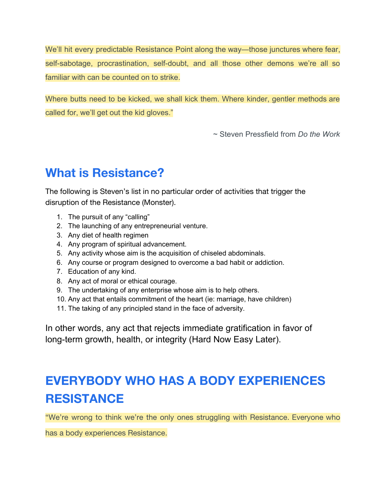We'll hit every predictable Resistance Point along the way—those junctures where fear, self-sabotage, procrastination, self-doubt, and all those other demons we're all so familiar with can be counted on to strike.

Where butts need to be kicked, we shall kick them. Where kinder, gentler methods are called for, we'll get out the kid gloves."

~ Steven Pressfield from *Do the Work*

## **What is Resistance?**

The following is Steven's list in no particular order of activities that trigger the disruption of the Resistance (Monster).

- 1. The pursuit of any "calling"
- 2. The launching of any entrepreneurial venture.
- 3. Any diet of health regimen
- 4. Any program of spiritual advancement.
- 5. Any activity whose aim is the acquisition of chiseled abdominals.
- 6. Any course or program designed to overcome a bad habit or addiction.
- 7. Education of any kind.
- 8. Any act of moral or ethical courage.
- 9. The undertaking of any enterprise whose aim is to help others.
- 10. Any act that entails commitment of the heart (ie: marriage, have children)
- 11. The taking of any principled stand in the face of adversity.

In other words, any act that rejects immediate gratification in favor of long-term growth, health, or integrity (Hard Now Easy Later).

# **EVERYBODY WHO HAS A BODY EXPERIENCES RESISTANCE**

"We're wrong to think we're the only ones struggling with Resistance. Everyone who

has a body experiences Resistance.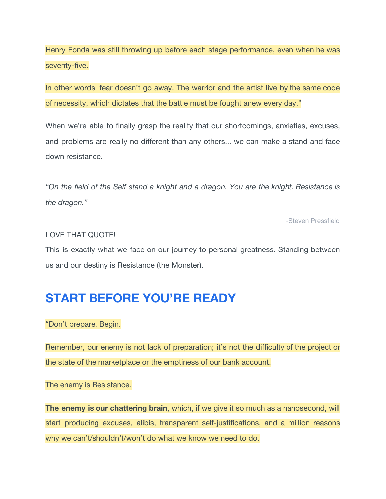Henry Fonda was still throwing up before each stage performance, even when he was seventy-five.

In other words, fear doesn't go away. The warrior and the artist live by the same code of necessity, which dictates that the battle must be fought anew every day."

When we're able to finally grasp the reality that our shortcomings, anxieties, excuses, and problems are really no different than any others... we can make a stand and face down resistance.

*"On the field of the Self stand a knight and a dragon. You are the knight. Resistance is the dragon."*

-Steven Pressfield

#### LOVE THAT QUOTE!

This is exactly what we face on our journey to personal greatness. Standing between us and our destiny is Resistance (the Monster).

### **START BEFORE YOU'RE READY**

"Don't prepare. Begin.

Remember, our enemy is not lack of preparation; it's not the difficulty of the project or the state of the marketplace or the emptiness of our bank account.

The enemy is Resistance.

**The enemy is our chattering brain**, which, if we give it so much as a nanosecond, will start producing excuses, alibis, transparent self-justifications, and a million reasons why we can't/shouldn't/won't do what we know we need to do.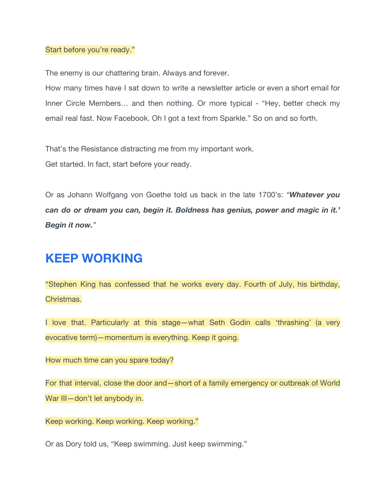#### Start before you're ready."

The enemy is our chattering brain. Always and forever.

How many times have I sat down to write a newsletter article or even a short email for Inner Circle Members… and then nothing. Or more typical - "Hey, better check my email real fast. Now Facebook. Oh I got a text from Sparkle." So on and so forth.

That's the Resistance distracting me from my important work.

Get started. In fact, start before your ready.

Or as Johann Wolfgang von Goethe told us back in the late 1700's: *"Whatever you can do or dream you can, begin it. Boldness has genius, power and magic in it.' Begin it now."*

## **KEEP WORKING**

"Stephen King has confessed that he works every day. Fourth of July, his birthday, Christmas.

I love that. Particularly at this stage—what Seth Godin calls 'thrashing' (a very evocative term)—momentum is everything. Keep it going.

How much time can you spare today?

For that interval, close the door and—short of a family emergency or outbreak of World War III-don't let anybody in.

Keep working. Keep working. Keep working."

Or as Dory told us, "Keep swimming. Just keep swimming."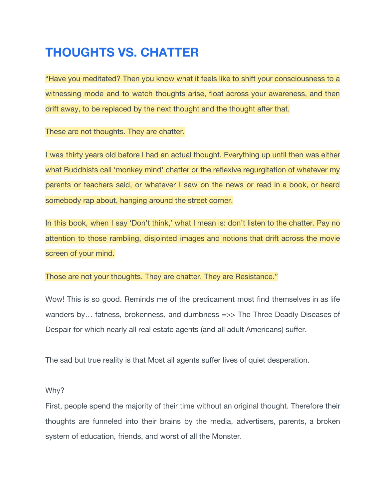## **THOUGHTS VS. CHATTER**

"Have you meditated? Then you know what it feels like to shift your consciousness to a witnessing mode and to watch thoughts arise, float across your awareness, and then drift away, to be replaced by the next thought and the thought after that.

These are not thoughts. They are chatter.

I was thirty years old before I had an actual thought. Everything up until then was either what Buddhists call 'monkey mind' chatter or the reflexive regurgitation of whatever my parents or teachers said, or whatever I saw on the news or read in a book, or heard somebody rap about, hanging around the street corner.

In this book, when I say 'Don't think,' what I mean is: don't listen to the chatter. Pay no attention to those rambling, disjointed images and notions that drift across the movie screen of your mind.

Those are not your thoughts. They are chatter. They are Resistance."

Wow! This is so good. Reminds me of the predicament most find themselves in as life wanders by... fatness, brokenness, and dumbness =>> The Three Deadly Diseases of Despair for which nearly all real estate agents (and all adult Americans) suffer.

The sad but true reality is that Most all agents suffer lives of quiet desperation.

Why?

First, people spend the majority of their time without an original thought. Therefore their thoughts are funneled into their brains by the media, advertisers, parents, a broken system of education, friends, and worst of all the Monster.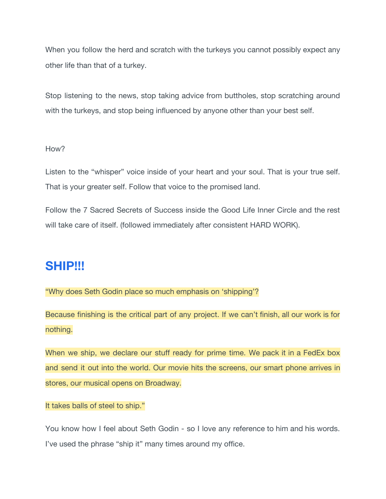When you follow the herd and scratch with the turkeys you cannot possibly expect any other life than that of a turkey.

Stop listening to the news, stop taking advice from buttholes, stop scratching around with the turkeys, and stop being influenced by anyone other than your best self.

#### How?

Listen to the "whisper" voice inside of your heart and your soul. That is your true self. That is your greater self. Follow that voice to the promised land.

Follow the 7 Sacred Secrets of Success inside the Good Life Inner Circle and the rest will take care of itself. (followed immediately after consistent HARD WORK).

### **SHIP!!!**

"Why does Seth Godin place so much emphasis on 'shipping'?

Because finishing is the critical part of any project. If we can't finish, all our work is for nothing.

When we ship, we declare our stuff ready for prime time. We pack it in a FedEx box and send it out into the world. Our movie hits the screens, our smart phone arrives in stores, our musical opens on Broadway.

It takes balls of steel to ship."

You know how I feel about Seth Godin - so I love any reference to him and his words. I've used the phrase "ship it" many times around my office.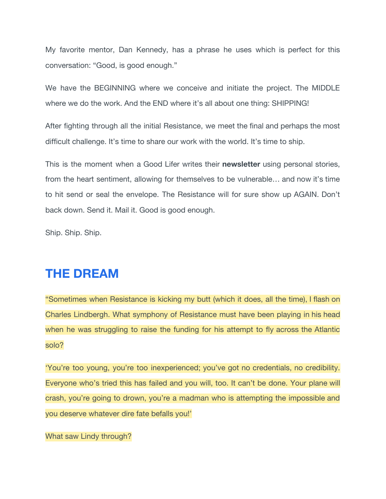My favorite mentor, Dan Kennedy, has a phrase he uses which is perfect for this conversation: "Good, is good enough."

We have the BEGINNING where we conceive and initiate the project. The MIDDLE where we do the work. And the END where it's all about one thing: SHIPPING!

After fighting through all the initial Resistance, we meet the final and perhaps the most difficult challenge. It's time to share our work with the world. It's time to ship.

This is the moment when a Good Lifer writes their **newsletter** using personal stories, from the heart sentiment, allowing for themselves to be vulnerable… and now it's time to hit send or seal the envelope. The Resistance will for sure show up AGAIN. Don't back down. Send it. Mail it. Good is good enough.

Ship. Ship. Ship.

### **THE DREAM**

"Sometimes when Resistance is kicking my butt (which it does, all the time), I flash on Charles Lindbergh. What symphony of Resistance must have been playing in his head when he was struggling to raise the funding for his attempt to fly across the Atlantic solo?

'You're too young, you're too inexperienced; you've got no credentials, no credibility. Everyone who's tried this has failed and you will, too. It can't be done. Your plane will crash, you're going to drown, you're a madman who is attempting the impossible and you deserve whatever dire fate befalls you!'

What saw Lindy through?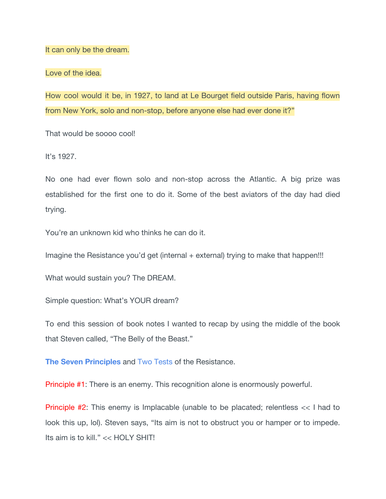It can only be the dream.

Love of the idea.

How cool would it be, in 1927, to land at Le Bourget field outside Paris, having flown from New York, solo and non-stop, before anyone else had ever done it?"

That would be soooo cool!

It's 1927.

No one had ever flown solo and non-stop across the Atlantic. A big prize was established for the first one to do it. Some of the best aviators of the day had died trying.

You're an unknown kid who thinks he can do it.

Imagine the Resistance you'd get (internal + external) trying to make that happen!!!

What would sustain you? The DREAM.

Simple question: What's YOUR dream?

To end this session of book notes I wanted to recap by using the middle of the book that Steven called, "The Belly of the Beast."

**The Seven Principles** and Two Tests of the Resistance.

Principle #1: There is an enemy. This recognition alone is enormously powerful.

Principle #2: This enemy is Implacable (unable to be placated; relentless << I had to look this up, lol). Steven says, "Its aim is not to obstruct you or hamper or to impede. Its aim is to kill." << HOLY SHIT!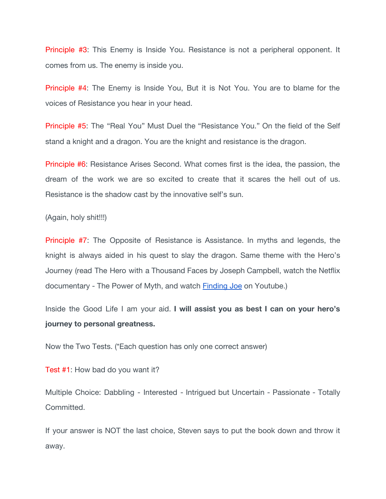Principle #3: This Enemy is Inside You. Resistance is not a peripheral opponent. It comes from us. The enemy is inside you.

Principle #4: The Enemy is Inside You, But it is Not You. You are to blame for the voices of Resistance you hear in your head.

Principle #5: The "Real You" Must Duel the "Resistance You." On the field of the Self stand a knight and a dragon. You are the knight and resistance is the dragon.

Principle #6: Resistance Arises Second. What comes first is the idea, the passion, the dream of the work we are so excited to create that it scares the hell out of us. Resistance is the shadow cast by the innovative self's sun.

(Again, holy shit!!!)

Principle #7: The Opposite of Resistance is Assistance. In myths and legends, the knight is always aided in his quest to slay the dragon. Same theme with the Hero's Journey (read The Hero with a Thousand Faces by Joseph Campbell, watch the Netflix documentary - The Power of Myth, and watch [Finding Joe](https://www.youtube.com/watch?v=s8nFACrLxr0) on Youtube.)

Inside the Good Life I am your aid. **I will assist you as best I can on your hero's journey to personal greatness.**

Now the Two Tests. (\*Each question has only one correct answer)

Test #1: How bad do you want it?

Multiple Choice: Dabbling - Interested - Intrigued but Uncertain - Passionate - Totally Committed.

If your answer is NOT the last choice, Steven says to put the book down and throw it away.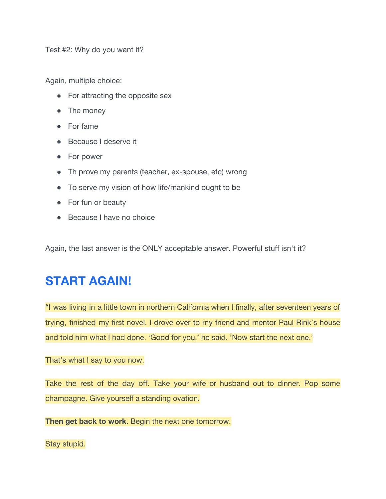Test #2: Why do you want it?

Again, multiple choice:

- For attracting the opposite sex
- The money
- For fame
- Because I deserve it
- For power
- Th prove my parents (teacher, ex-spouse, etc) wrong
- To serve my vision of how life/mankind ought to be
- For fun or beauty
- Because I have no choice

Again, the last answer is the ONLY acceptable answer. Powerful stuff isn't it?

## **START AGAIN!**

"I was living in a little town in northern California when I finally, after seventeen years of trying, finished my first novel. I drove over to my friend and mentor Paul Rink's house and told him what I had done. 'Good for you,' he said. 'Now start the next one.'

That's what I say to you now.

Take the rest of the day off. Take your wife or husband out to dinner. Pop some champagne. Give yourself a standing ovation.

**Then get back to work**. Begin the next one tomorrow.

Stay stupid.